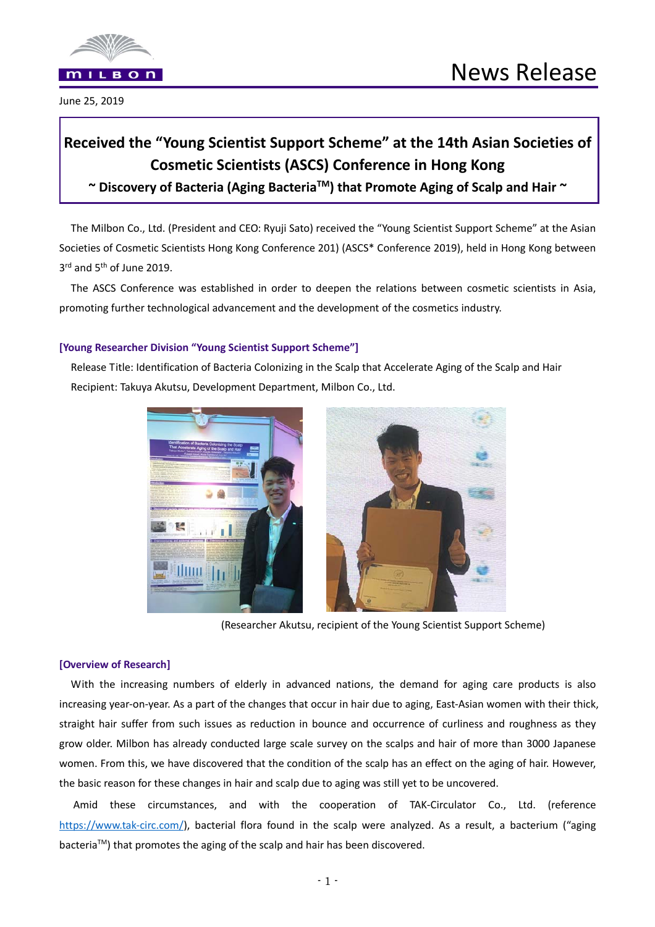

## **Received the "Young Scientist Support Scheme" at the 14th Asian Societies of Cosmetic Scientists (ASCS) Conference in Hong Kong**

**~ Discovery of Bacteria (Aging BacteriaTM) that Promote Aging of Scalp and Hair ~** 

The Milbon Co., Ltd. (President and CEO: Ryuji Sato) received the "Young Scientist Support Scheme" at the Asian Societies of Cosmetic Scientists Hong Kong Conference 201) (ASCS\* Conference 2019), held in Hong Kong between 3rd and 5<sup>th</sup> of June 2019.

The ASCS Conference was established in order to deepen the relations between cosmetic scientists in Asia, promoting further technological advancement and the development of the cosmetics industry.

## **[Young Researcher Division "Young Scientist Support Scheme"]**

Release Title: Identification of Bacteria Colonizing in the Scalp that Accelerate Aging of the Scalp and Hair Recipient: Takuya Akutsu, Development Department, Milbon Co., Ltd.





(Researcher Akutsu, recipient of the Young Scientist Support Scheme)

## **[Overview of Research]**

With the increasing numbers of elderly in advanced nations, the demand for aging care products is also increasing year‐on‐year. As a part of the changes that occur in hair due to aging, East‐Asian women with their thick, straight hair suffer from such issues as reduction in bounce and occurrence of curliness and roughness as they grow older. Milbon has already conducted large scale survey on the scalps and hair of more than 3000 Japanese women. From this, we have discovered that the condition of the scalp has an effect on the aging of hair. However, the basic reason for these changes in hair and scalp due to aging was still yet to be uncovered.

Amid these circumstances, and with the cooperation of TAK-Circulator Co., Ltd. (reference https://www.tak-circ.com/), bacterial flora found in the scalp were analyzed. As a result, a bacterium ("aging bacteriaTM) that promotes the aging of the scalp and hair has been discovered.